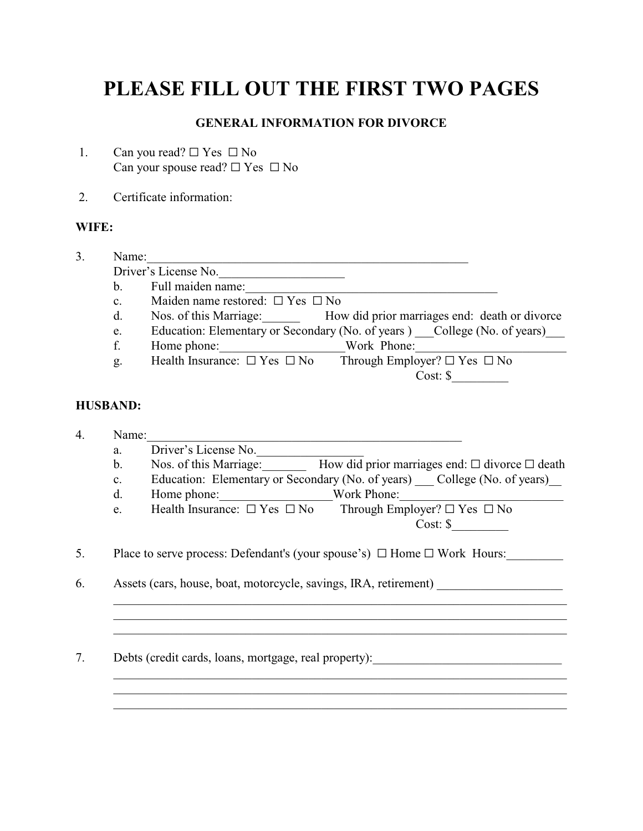## **PLEASE FILL OUT THE FIRST TWO PAGES**

## **GENERAL INFORMATION FOR DIVORCE**

- 1. Can you read?  $\Box$  Yes  $\Box$  No Can your spouse read?  $\Box$  Yes  $\Box$  No
- 2. Certificate information:

## **WIFE:**

3. Name:\_\_\_\_\_\_\_\_\_\_\_\_\_\_\_\_\_\_\_\_\_\_\_\_\_\_\_\_\_\_\_\_\_\_\_\_\_\_\_\_\_\_\_\_\_\_\_\_\_\_\_ Driver's License No. b. Full maiden name: c. Maiden name restored:  $\Box$  Yes  $\Box$  No<br>d. Nos. of this Marriage: Hov d. Nos. of this Marriage: How did prior marriages end: death or divorce e. Education: Elementary or Secondary (No. of years ) College (No. of years) f. Home phone: Work Phone: Work Phone:  $\Box$  Work Phone: g. Health Insurance:  $\Box$  Yes  $\Box$  No Through Employer?  $\Box$  Yes  $\Box$  No Cost: \$\_\_\_\_\_\_\_\_\_

## **HUSBAND:**

4. Name: a. Driver's License No. b. Nos. of this Marriage: How did prior marriages end:  $\Box$  divorce  $\Box$  death c. Education: Elementary or Secondary (No. of years) College (No. of years) d. Home phone: Work Phone: Work Phone:  $\Box$  Work Phone:  $\Box$  Health Insurance:  $\Box$  Yes  $\Box$  No Through Employ e. Health Insurance:  $\Box$  Yes  $\Box$  No Through Employer?  $\Box$  Yes  $\Box$  No Cost: \$\_\_\_\_\_\_\_\_\_ 5. Place to serve process: Defendant's (your spouse's)  $\Box$  Home  $\Box$  Work Hours: 6. Assets (cars, house, boat, motorcycle, savings, IRA, retirement) \_\_\_\_\_\_\_\_\_\_\_\_\_\_\_\_\_\_\_\_\_\_\_\_\_\_\_\_\_\_\_\_\_\_\_\_\_\_\_\_\_\_\_\_\_\_\_\_\_\_\_\_\_\_\_\_\_\_\_\_\_\_\_\_\_\_\_\_\_\_\_\_ \_\_\_\_\_\_\_\_\_\_\_\_\_\_\_\_\_\_\_\_\_\_\_\_\_\_\_\_\_\_\_\_\_\_\_\_\_\_\_\_\_\_\_\_\_\_\_\_\_\_\_\_\_\_\_\_\_\_\_\_\_\_\_\_\_\_\_\_\_\_\_\_ \_\_\_\_\_\_\_\_\_\_\_\_\_\_\_\_\_\_\_\_\_\_\_\_\_\_\_\_\_\_\_\_\_\_\_\_\_\_\_\_\_\_\_\_\_\_\_\_\_\_\_\_\_\_\_\_\_\_\_\_\_\_\_\_\_\_\_\_\_\_\_\_ 7. Debts (credit cards, loans, mortgage, real property): \_\_\_\_\_\_\_\_\_\_\_\_\_\_\_\_\_\_\_\_\_\_\_\_  $\mathcal{L}_\text{max} = \mathcal{L}_\text{max} = \mathcal{L}_\text{max} = \mathcal{L}_\text{max} = \mathcal{L}_\text{max} = \mathcal{L}_\text{max} = \mathcal{L}_\text{max} = \mathcal{L}_\text{max} = \mathcal{L}_\text{max} = \mathcal{L}_\text{max} = \mathcal{L}_\text{max} = \mathcal{L}_\text{max} = \mathcal{L}_\text{max} = \mathcal{L}_\text{max} = \mathcal{L}_\text{max} = \mathcal{L}_\text{max} = \mathcal{L}_\text{max} = \mathcal{L}_\text{max} = \mathcal{$ 

\_\_\_\_\_\_\_\_\_\_\_\_\_\_\_\_\_\_\_\_\_\_\_\_\_\_\_\_\_\_\_\_\_\_\_\_\_\_\_\_\_\_\_\_\_\_\_\_\_\_\_\_\_\_\_\_\_\_\_\_\_\_\_\_\_\_\_\_\_\_\_\_